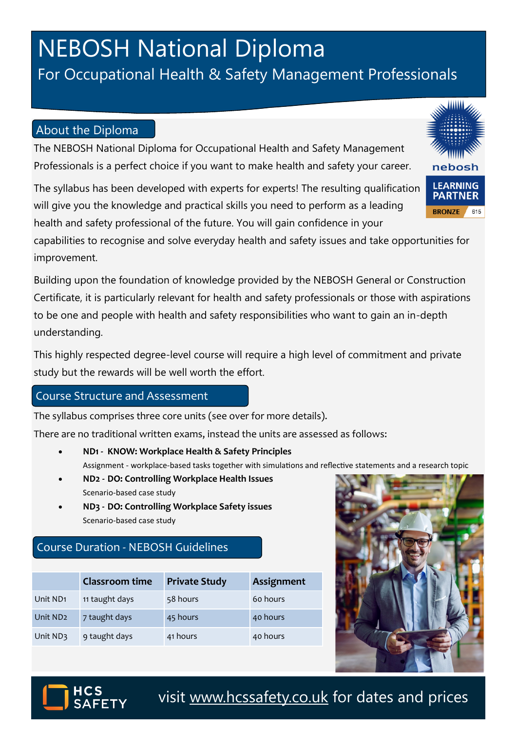# **NEBOSH National Diploma**

### For Occupational Health & Safety Management Professionals

#### About the Diploma

The NEBOSH National Diploma for Occupational Health and Safety Management Professionals is a perfect choice if you want to make health and safety your career.

The syllabus has been developed with experts for experts! The resulting qualification will give you the knowledge and practical skills you need to perform as a leading health and safety professional of the future. You will gain confidence in your

capabilities to recognise and solve everyday health and safety issues and take opportunities for improvement.

Building upon the foundation of knowledge provided by the NEBOSH General or Construction Certificate, it is particularly relevant for health and safety professionals or those with aspirations to be one and people with health and safety responsibilities who want to gain an in-depth understanding.

This highly respected degree-level course will require a high level of commitment and private study but the rewards will be well worth the effort.

#### Course Structure and Assessment

The syllabus comprises three core units (see over for more details).

There are no traditional written exams, instead the units are assessed as follows:

- **ND1 - KNOW: Workplace Health & Safety Principles**  Assignment - workplace-based tasks together with simulations and reflective statements and a research topic
- **ND2 - DO: Controlling Workplace Health Issues** Scenario-based case study
- **ND3 - DO: Controlling Workplace Safety issues** Scenario-based case study

### Course Duration - NEBOSH Guidelines

|                      | Classroom time | <b>Private Study</b> | Assignment |
|----------------------|----------------|----------------------|------------|
| Unit ND <sub>1</sub> | 11 taught days | 58 hours             | 60 hours   |
| Unit ND <sub>2</sub> | 7 taught days  | 45 hours             | 40 hours   |
| Unit ND3             | 9 taught days  | 41 hours             | 40 hours   |





visit [www.hcssafety.co.uk](http://www.hcssafety.co.uk/training) for dates and prices

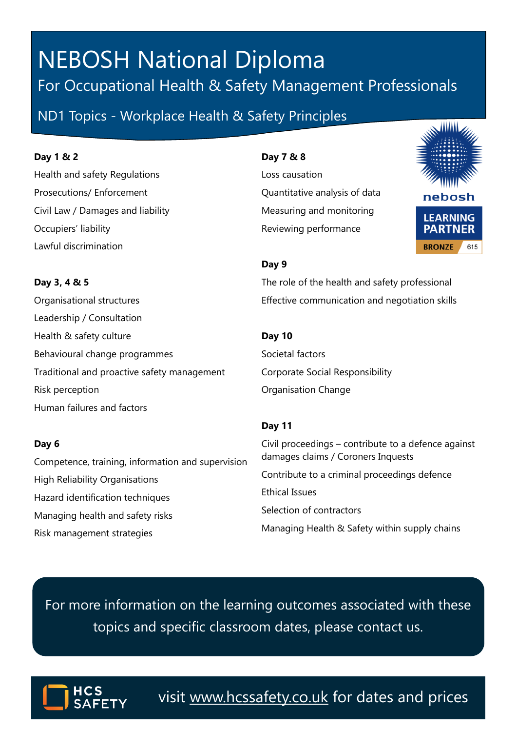## **NEBOSH National Diploma** For Occupational Health & Safety Management Professionals

ND1 Topics - Workplace Health & Safety Principles

#### **Day 1 & 2**

Health and safety Regulations Prosecutions/ Enforcement Civil Law / Damages and liability Occupiers' liability Lawful discrimination

**Day 7 & 8**

Loss causation Quantitative analysis of data Measuring and monitoring Reviewing performance



#### **Day 9**

The role of the health and safety professional Effective communication and negotiation skills

#### **Day 10**

Societal factors Corporate Social Responsibility Organisation Change

#### **Day 11**

Civil proceedings – contribute to a defence against damages claims / Coroners Inquests Contribute to a criminal proceedings defence Ethical Issues Selection of contractors Managing Health & Safety within supply chains

For more information on the learning outcomes associated with these topics and specific classroom dates, please contact us.



visit [www.hcssafety.co.uk](http://www.hcssafety.co.uk/training) for dates and prices

**Day 3, 4 & 5** Organisational structures Leadership / Consultation Health & safety culture

Behavioural change programmes Traditional and proactive safety management Risk perception Human failures and factors

#### **Day 6**

Competence, training, information and supervision High Reliability Organisations Hazard identification techniques Managing health and safety risks Risk management strategies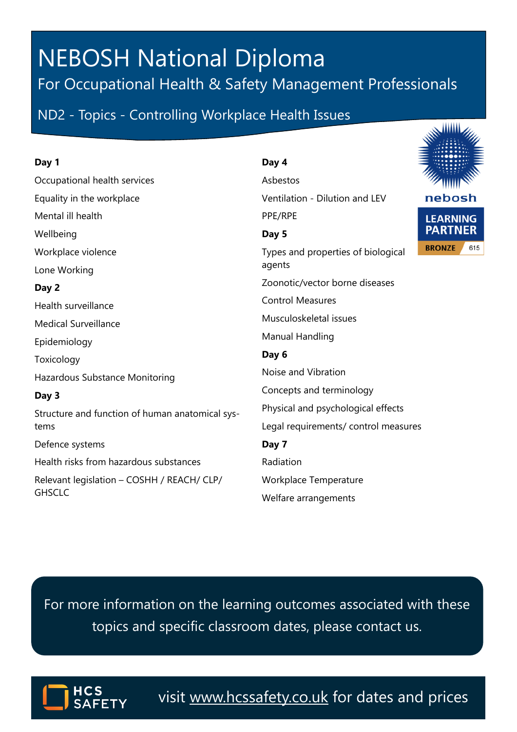## **NEBOSH National Diploma** For Occupational Health & Safety Management Professionals

ND2 - Topics - Controlling Workplace Health Issues

#### **Day 1**

Occupational health services Equality in the workplace Mental ill health **Wellbeing** Workplace violence Lone Working **Day 2** Health surveillance Medical Surveillance Epidemiology Toxicology Hazardous Substance Monitoring **Day 3** Structure and function of human anatomical systems Defence systems

Health risks from hazardous substances

Relevant legislation – COSHH / REACH/ CLP/ **GHSCLC** 

#### **Day 4**

Asbestos Ventilation - Dilution and LEV PPE/RPE **Day 5** Types and properties of biological agents Zoonotic/vector borne diseases Control Measures Musculoskeletal issues Manual Handling **Day 6** Noise and Vibration Concepts and terminology Physical and psychological effects Legal requirements/ control measures

**Day 7** Radiation Workplace Temperature

Welfare arrangements

For more information on the learning outcomes associated with these topics and specific classroom dates, please contact us.



visit [www.hcssafety.co.uk](http://www.hcssafety.co.uk/training) for dates and prices